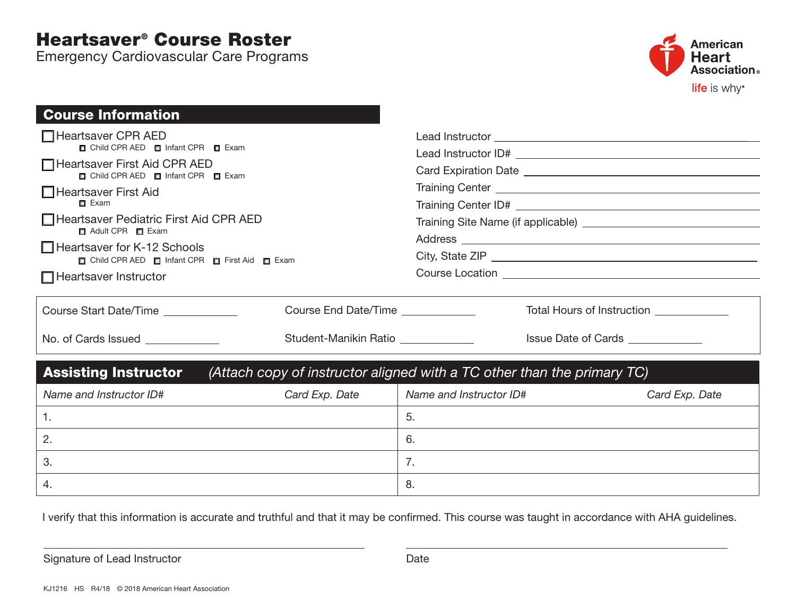## Heartsaver® Course Roster

Emergency Cardiovascular Care Programs



| <b>Course Information</b>                                                                                                                                           |                                    |                         |                                          |  |                                                                                                                                                     |  |  |  |  |
|---------------------------------------------------------------------------------------------------------------------------------------------------------------------|------------------------------------|-------------------------|------------------------------------------|--|-----------------------------------------------------------------------------------------------------------------------------------------------------|--|--|--|--|
| $\Box$ Heartsaver CPR AED<br>□ Child CPR AED □ Infant CPR □ Exam<br>□ Heartsaver First Aid CPR AED<br>□ Child CPR AED □ Infant CPR □ Exam<br>□ Heartsaver First Aid |                                    |                         |                                          |  |                                                                                                                                                     |  |  |  |  |
|                                                                                                                                                                     |                                    |                         |                                          |  | $\Box$ Exam                                                                                                                                         |  |  |  |  |
|                                                                                                                                                                     |                                    |                         |                                          |  | Heartsaver Pediatric First Aid CPR AED<br>Adult CPR F Exam<br>$\Box$ Heartsaver for K-12 Schools<br>□ Child CPR AED □ Infant CPR □ First Aid □ Exam |  |  |  |  |
|                                                                                                                                                                     |                                    |                         |                                          |  |                                                                                                                                                     |  |  |  |  |
|                                                                                                                                                                     |                                    |                         |                                          |  |                                                                                                                                                     |  |  |  |  |
| $\Box$ Heartsaver Instructor                                                                                                                                        |                                    |                         |                                          |  |                                                                                                                                                     |  |  |  |  |
|                                                                                                                                                                     |                                    |                         |                                          |  |                                                                                                                                                     |  |  |  |  |
| Course Start Date/Time                                                                                                                                              | Course End Date/Time _____________ |                         | Total Hours of Instruction _____________ |  |                                                                                                                                                     |  |  |  |  |
| No. of Cards Issued ____________                                                                                                                                    | Student-Manikin Ratio              |                         | Issue Date of Cards ____________         |  |                                                                                                                                                     |  |  |  |  |
| (Attach copy of instructor aligned with a TC other than the primary TC)<br><b>Assisting Instructor</b>                                                              |                                    |                         |                                          |  |                                                                                                                                                     |  |  |  |  |
| Name and Instructor ID#                                                                                                                                             | Card Exp. Date                     | Name and Instructor ID# | Card Exp. Date                           |  |                                                                                                                                                     |  |  |  |  |
| $\mathbf{1}$ .                                                                                                                                                      |                                    | 5.                      |                                          |  |                                                                                                                                                     |  |  |  |  |
| 2.                                                                                                                                                                  |                                    | 6.                      |                                          |  |                                                                                                                                                     |  |  |  |  |
| 3.                                                                                                                                                                  |                                    | 7.                      |                                          |  |                                                                                                                                                     |  |  |  |  |
| 4.                                                                                                                                                                  |                                    | 8.                      |                                          |  |                                                                                                                                                     |  |  |  |  |

I verify that this information is accurate and truthful and that it may be confirmed. This course was taught in accordance with AHA guidelines.

Signature of Lead Instructor **Date** Date Date